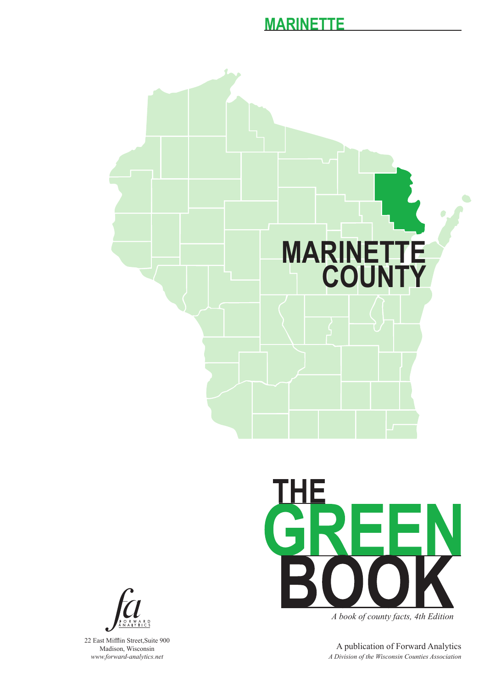



*A book of county facts, 4th Edition*

A publication of Forward Analytics *A Division of the Wisconsin Counties Association*



22 East Mifflin Street,Suite 900 Madison, Wisconsin *www.forward-analytics.net*